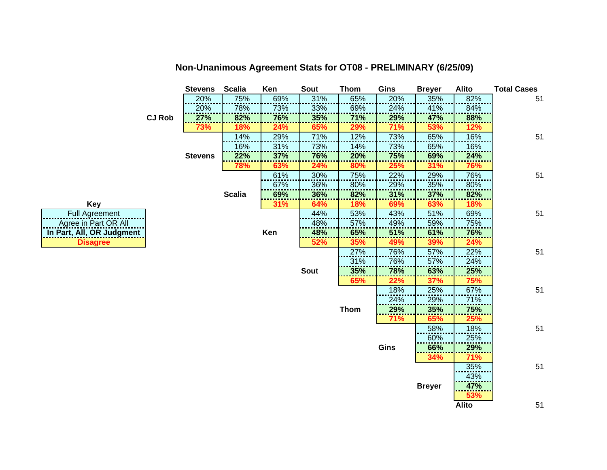|                           |               | <b>Stevens</b> | <b>Scalia</b> | Ken | Sout        | Thom        | Gins | <b>Breyer</b> | Alito        | <b>Total Cases</b> |
|---------------------------|---------------|----------------|---------------|-----|-------------|-------------|------|---------------|--------------|--------------------|
|                           |               | 20%            | 75%           | 69% | 31%         | 65%         | 20%  | 35%           | 82%          | 51                 |
|                           |               | 20%            | 78%           | 73% | 33%         | 69%         | 24%  | 41%           | 84%          |                    |
|                           | <b>CJ Rob</b> | 27%            | 82%           | 76% | 35%         | 71%         | 29%  | 47%           | 88%          |                    |
|                           |               | 73%            | 18%           | 24% | 65%         | 29%         | 71%  | 53%           | 12%          |                    |
|                           |               |                | 14%           | 29% | 71%         | 12%         | 73%  | 65%           | 16%          | 51                 |
|                           |               |                | 16%           | 31% | 73%         | 14%         | 73%  | 65%           | 16%          |                    |
|                           |               | <b>Stevens</b> | 22%           | 37% | 76%         | 20%         | 75%  | 69%           | 24%          |                    |
|                           |               |                | 78%           | 63% | 24%         | 80%         | 25%  | 31%           | 76%          |                    |
|                           |               |                |               | 61% | 30%         | 75%         | 22%  | 29%           | 76%          | 51                 |
|                           |               |                |               | 67% | 36%         | 80%         | 29%  | 35%           | 80%          |                    |
|                           |               |                | <b>Scalia</b> | 69% | 36%         | 82%         | 31%  | 37%           | 82%          |                    |
| <b>Key</b>                |               |                |               | 31% | 64%         | 18%         | 69%  | 63%           | 18%          |                    |
| <b>Full Agreement</b>     |               |                |               |     | 44%         | 53%         | 43%  | 51%           | 69%          | 51                 |
| Agree in Part OR All      |               |                |               |     | 48%         | 57%         | 49%  | 59%           | 75%          |                    |
| In Part, All, OR Judgment |               |                |               | Ken | 48%         | 65%         | 51%  | 61%           | 76%          |                    |
| <b>Disagree</b>           |               |                |               |     | 52%         | 35%         | 49%  | 39%           | 24%          |                    |
|                           |               |                |               |     |             | 27%         | 76%  | 57%           | 22%          | 51                 |
|                           |               |                |               |     |             | 31%         | 76%  | 57%           | 24%          |                    |
|                           |               |                |               |     | <b>Sout</b> | 35%         | 78%  | 63%           | 25%          |                    |
|                           |               |                |               |     |             | 65%         | 22%  | 37%           | 75%          |                    |
|                           |               |                |               |     |             |             | 18%  | 25%           | 67%          | 51                 |
|                           |               |                |               |     |             |             | 24%  | 29%           | 71%          |                    |
|                           |               |                |               |     |             | <b>Thom</b> | 29%  | 35%           | 75%          |                    |
|                           |               |                |               |     |             |             | 71%  | 65%           | 25%          |                    |
|                           |               |                |               |     |             |             |      | 58%           | 18%          | 51                 |
|                           |               |                |               |     |             |             |      | 60%           | 25%          |                    |
|                           |               |                |               |     |             |             | Gins | 66%           | 29%          |                    |
|                           |               |                |               |     |             |             |      | 34%           | 71%          |                    |
|                           |               |                |               |     |             |             |      |               | 35%          | 51                 |
|                           |               |                |               |     |             |             |      |               | 43%          |                    |
|                           |               |                |               |     |             |             |      | <b>Breyer</b> | 47%          |                    |
|                           |               |                |               |     |             |             |      |               | 53%          |                    |
|                           |               |                |               |     |             |             |      |               | <b>Alito</b> | 51                 |

**Non-Unanimous Agreement Stats for OT08 - PRELIMINARY (6/25/09)**